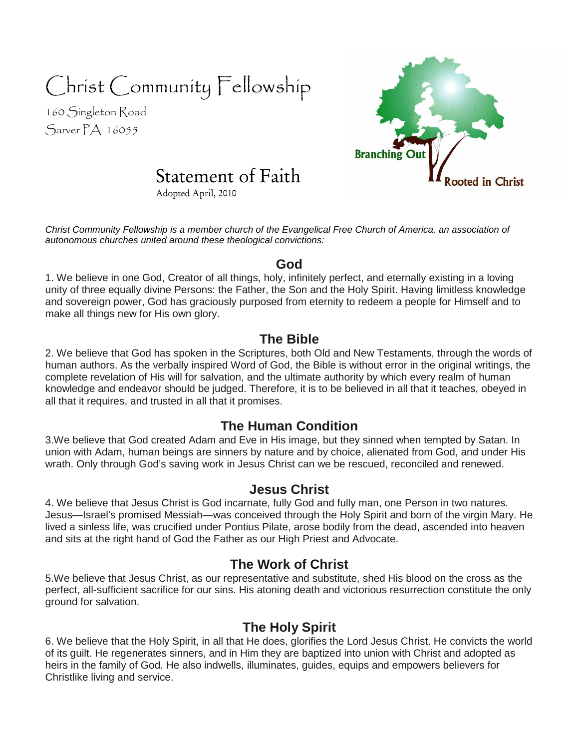# Christ Community Fellowship

160 Singleton Road Sarver PA 16055



# Statement of Faith

Adopted April, 2010

Christ Community Fellowship is a member church of the Evangelical Free Church of America, an association of autonomous churches united around these theological convictions:

#### **God**

1. We believe in one God, Creator of all things, holy, infinitely perfect, and eternally existing in a loving unity of three equally divine Persons: the Father, the Son and the Holy Spirit. Having limitless knowledge and sovereign power, God has graciously purposed from eternity to redeem a people for Himself and to make all things new for His own glory.

#### **The Bible**

2. We believe that God has spoken in the Scriptures, both Old and New Testaments, through the words of human authors. As the verbally inspired Word of God, the Bible is without error in the original writings, the complete revelation of His will for salvation, and the ultimate authority by which every realm of human knowledge and endeavor should be judged. Therefore, it is to be believed in all that it teaches, obeyed in all that it requires, and trusted in all that it promises.

#### **The Human Condition**

3.We believe that God created Adam and Eve in His image, but they sinned when tempted by Satan. In union with Adam, human beings are sinners by nature and by choice, alienated from God, and under His wrath. Only through God's saving work in Jesus Christ can we be rescued, reconciled and renewed.

#### **Jesus Christ**

4. We believe that Jesus Christ is God incarnate, fully God and fully man, one Person in two natures. Jesus—Israel's promised Messiah—was conceived through the Holy Spirit and born of the virgin Mary. He lived a sinless life, was crucified under Pontius Pilate, arose bodily from the dead, ascended into heaven and sits at the right hand of God the Father as our High Priest and Advocate.

#### **The Work of Christ**

5.We believe that Jesus Christ, as our representative and substitute, shed His blood on the cross as the perfect, all-sufficient sacrifice for our sins. His atoning death and victorious resurrection constitute the only ground for salvation.

## **The Holy Spirit**

6. We believe that the Holy Spirit, in all that He does, glorifies the Lord Jesus Christ. He convicts the world of its guilt. He regenerates sinners, and in Him they are baptized into union with Christ and adopted as heirs in the family of God. He also indwells, illuminates, guides, equips and empowers believers for Christlike living and service.